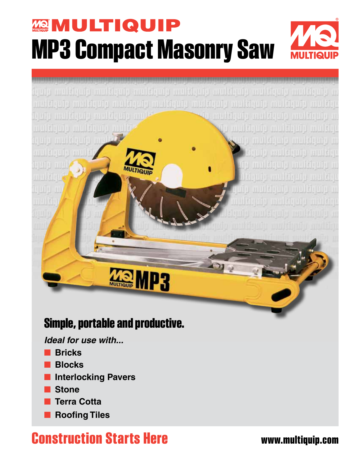## **MULTIQUIP MP3 Compact Masonry Saw**



### **Simple, portable and productive.**

*Ideal for use with...*

- **Bricks**
- **Blocks**
- **Interlocking Pavers**
- **Stone**
- **Terra Cotta**
- **Roofing Tiles**

### **Construction Starts Here www.multiquip.com**